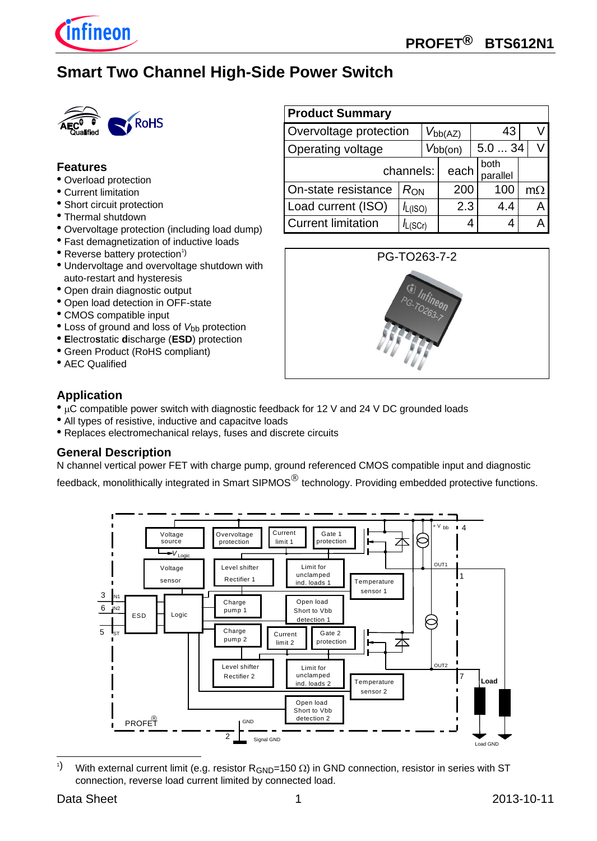

# **Smart Two Channel High-Side Power Switch**



#### **Features**

- Overload protection
- Current limitation
- Short circuit protection
- Thermal shutdown
- Overvoltage protection (including load dump)
- Fast demagnetization of inductive loads
- $\bullet$  Reverse battery protection<sup>1</sup>)
- Undervoltage and overvoltage shutdown with auto-restart and hysteresis
- Open drain diagnostic output
- Open load detection in OFF-state
- CMOS compatible input
- Loss of ground and loss of *V*<sub>bb</sub> protection
- **E**lectro**s**tatic **d**ischarge (**ESD**) protection
- Green Product (RoHS compliant)
- AEC Qualified

# **Product Summary** Overvoltage protection  $|V_{bb(AZ)}|$  43 V Operating voltage  $|V_{bb(0n)}|$  5.0 ... 34 V channels:  $\vert$  each  $\vert$  both parallel On-state resistance  $|R_{\text{ON}}|$  200 | 100 | m $\Omega$ Load current (ISO)  $|I_{L(ISO)}|$  2.3 4.4 A Current limitation  $|I_{L(SCr)}|$  4 4 A



#### **Application**

- µC compatible power switch with diagnostic feedback for 12 V and 24 V DC grounded loads
- All types of resistive, inductive and capacitve loads
- Replaces electromechanical relays, fuses and discrete circuits

#### **General Description**

N channel vertical power FET with charge pump, ground referenced CMOS compatible input and diagnostic

feedback, monolithically integrated in Smart SIPMOS<sup>®</sup> technology. Providing embedded protective functions.



 $1)$ With external current limit (e.g. resistor  $R_{GND}=150 \Omega$ ) in GND connection, resistor in series with ST connection, reverse load current limited by connected load.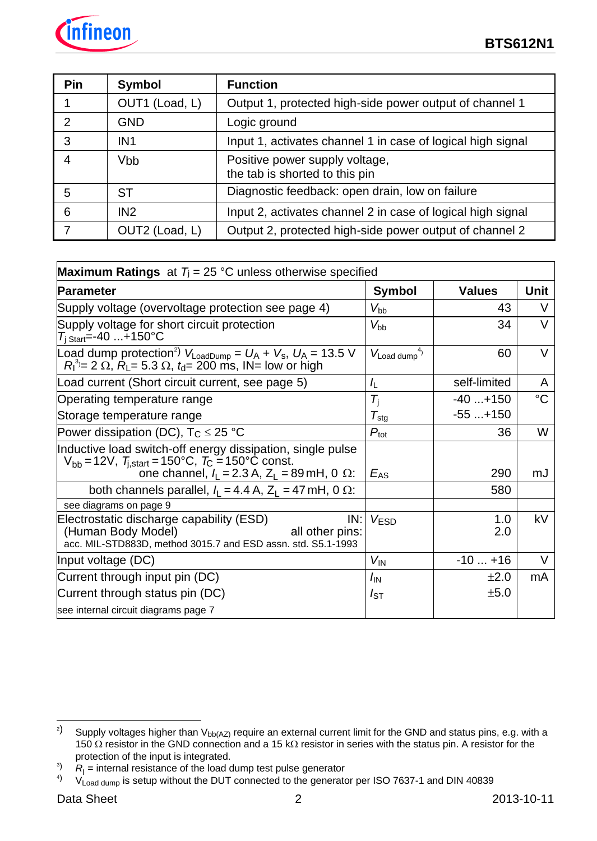

| Pin | <b>Symbol</b>   | <b>Function</b>                                                  |
|-----|-----------------|------------------------------------------------------------------|
|     | OUT1 (Load, L)  | Output 1, protected high-side power output of channel 1          |
| 2   | <b>GND</b>      | Logic ground                                                     |
|     | IN <sub>1</sub> | Input 1, activates channel 1 in case of logical high signal      |
|     | <b>Vbb</b>      | Positive power supply voltage,<br>the tab is shorted to this pin |
| 5   | <b>ST</b>       | Diagnostic feedback: open drain, low on failure                  |
| 6   | IN2             | Input 2, activates channel 2 in case of logical high signal      |
|     | OUT2 (Load, L)  | Output 2, protected high-side power output of channel 2          |

| <b>Maximum Ratings</b> at $T_i = 25$ °C unless otherwise specified                                                                                                                          |                          |               |             |
|---------------------------------------------------------------------------------------------------------------------------------------------------------------------------------------------|--------------------------|---------------|-------------|
| Parameter                                                                                                                                                                                   | <b>Symbol</b>            | <b>Values</b> | Unit        |
| Supply voltage (overvoltage protection see page 4)                                                                                                                                          | $V_{\rm bb}$             | 43            | v           |
| Supply voltage for short circuit protection<br>$T_{\rm i \; Start} = -40 \ldots + 150^{\circ}C$                                                                                             | $V_{\text{bb}}$          | 34            | $\vee$      |
| Load dump protection <sup>2</sup> ) $V_{\text{LoadDump}} = U_A + V_s$ , $U_A = 13.5$ V<br>$R_1^3$ = 2 $\Omega$ , $R_1$ = 5.3 $\Omega$ , $t_0$ = 200 ms, IN = low or high                    | $V_{\text{Load dump}}^4$ | 60            | $\vee$      |
| Load current (Short circuit current, see page 5)                                                                                                                                            | $I_{\mathsf{L}}$         | self-limited  | A           |
| Operating temperature range                                                                                                                                                                 | $T_{\rm i}$              | $-40+150$     | $^{\circ}C$ |
| Storage temperature range                                                                                                                                                                   | $T_{\rm stg}$            | $-55+150$     |             |
| Power dissipation (DC), $T_C \leq 25$ °C                                                                                                                                                    | $P_{\text{tot}}$         | 36            | W           |
| Inductive load switch-off energy dissipation, single pulse<br>$V_{\rm bb}$ = 12V, $T_{\rm i, start}$ = 150°C, $T_{\rm C}$ = 150°C const.<br>one channel, $I_1 = 2.3$ A, $Z_1 = 89$ mH, 0 Ω: | $E_{AS}$                 | 290           | mJ          |
| both channels parallel, $I_1 = 4.4$ A, $Z_1 = 47$ mH, 0 $\Omega$ :                                                                                                                          |                          | 580           |             |
| see diagrams on page 9                                                                                                                                                                      |                          |               |             |
| Electrostatic discharge capability (ESD)<br>IN:<br>(Human Body Model)<br>all other pins:<br>acc. MIL-STD883D, method 3015.7 and ESD assn. std. S5.1-1993                                    | V <sub>ESD</sub>         | 1.0<br>2.0    | kV          |
| Input voltage (DC)                                                                                                                                                                          | $V_{\text{IN}}$          | $-10+16$      |             |
| Current through input pin (DC)                                                                                                                                                              | $I_{\text{IN}}$          | ±2.0          | mA          |
| Current through status pin (DC)                                                                                                                                                             | $I_{ST}$                 | ±5.0          |             |
| see internal circuit diagrams page 7                                                                                                                                                        |                          |               |             |

 $2)$ Supply voltages higher than  $V_{bb(AZ)}$  require an external current limit for the GND and status pins, e.g. with a 150  $\Omega$  resistor in the GND connection and a 15 k $\Omega$  resistor in series with the status pin. A resistor for the protection of the input is integrated.

 $\mathcal{R}_{\mid}$  = internal resistance of the load dump test pulse generator

 $^{4)}$  V<sub>Load dump</sub> is setup without the DUT connected to the generator per ISO 7637-1 and DIN 40839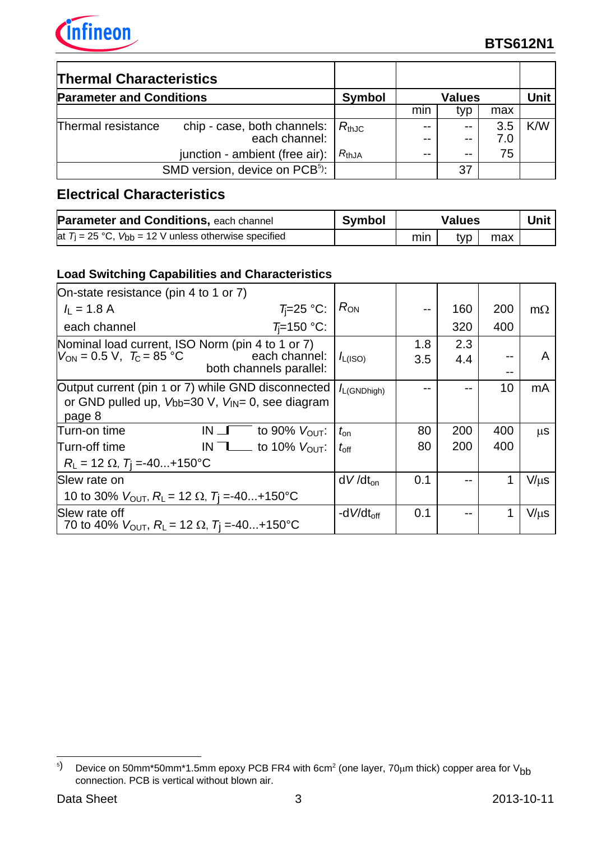

| <b>Thermal Characteristics</b>  |                                              |            |               |              |            |     |
|---------------------------------|----------------------------------------------|------------|---------------|--------------|------------|-----|
| <b>Parameter and Conditions</b> | <b>Symbol</b>                                |            | <b>Values</b> |              | Unit       |     |
|                                 |                                              |            | mın           | typ          | max        |     |
| Thermal resistance              | chip - case, both channels:<br>each channel: | $R_{thJC}$ |               | $-$<br>$- -$ | 3.5<br>7.0 | K/W |
|                                 | junction - ambient (free air):               | $R_{thJA}$ | $- -$         | --           | 75         |     |
|                                 | SMD version, device on PCB <sup>5</sup> ):   |            |               | 37           |            |     |

# **Electrical Characteristics**

| <b>Parameter and Conditions, each channel</b>                | Symbol |     | <b>Values</b> |     |  |
|--------------------------------------------------------------|--------|-----|---------------|-----|--|
| at $T_1 = 25$ °C, $V_{bb} = 12$ V unless otherwise specified |        | min | typ           | max |  |

## **Load Switching Capabilities and Characteristics**

| On-state resistance (pin 4 to 1 or 7)                                                  |                                     |                  |     |     |     |           |
|----------------------------------------------------------------------------------------|-------------------------------------|------------------|-----|-----|-----|-----------|
| $I_{\perp}$ = 1.8 A                                                                    | $T = 25$ °C:                        | $R_{ON}$         |     | 160 | 200 | $m\Omega$ |
| each channel                                                                           | $T_{i}=150$ °C:                     |                  |     | 320 | 400 |           |
| Nominal load current, ISO Norm (pin 4 to 1 or 7)                                       |                                     |                  | 1.8 | 2.3 |     |           |
| $V_{ON} = 0.5 \text{ V}, T_{C} = 85 \text{ °C}$                                        | each channel:                       | $I_{L(ISO)}$     | 3.5 | 4.4 |     | A         |
|                                                                                        | both channels parallel:             |                  |     |     | --  |           |
| Output current (pin 1 or 7) while GND disconnected                                     |                                     | $I_{L(GNDhigh)}$ |     |     | 10  | mA        |
| or GND pulled up, $V_{bb}=30$ V, $V_{IN}=0$ , see diagram                              |                                     |                  |     |     |     |           |
| page 8                                                                                 |                                     |                  |     |     |     |           |
| Turn-on time<br>$IN \Box$                                                              | to 90% $V_{\text{OUT}}$ :           | $t_{\rm on}$     | 80  | 200 | 400 | μS        |
| Turn-off time                                                                          | IN $\top$ to 10% $V_{\text{OUT}}$ : | $t_{\rm off}$    | 80  | 200 | 400 |           |
| $R_{L} = 12 \Omega$ , $T_{I} = -40+150^{\circ}C$                                       |                                     |                  |     |     |     |           |
| Slew rate on                                                                           |                                     | $dV/dt_{on}$     | 0.1 |     |     | $V/\mu s$ |
| 10 to 30% $V_{\text{OUT}}$ , R <sub>L</sub> = 12 $\Omega$ , T <sub>i</sub> =-40+150°C  |                                     |                  |     |     |     |           |
| Slew rate off                                                                          |                                     | -d $V/dt_{off}$  | 0.1 |     |     | $V/\mu s$ |
| 70 to 40% $V_{\text{OUT}}$ , R <sub>L</sub> = 12 $\Omega$ , T <sub>i</sub> =-40+150 °C |                                     |                  |     |     |     |           |

j  $^{5)}$   $\,$  Device on 50mm\*50mm\*1.5mm epoxy PCB FR4 with 6cm $^{2}$  (one layer, 70 $\mu$ m thick) copper area for V $_{\rm bb}$ connection. PCB is vertical without blown air.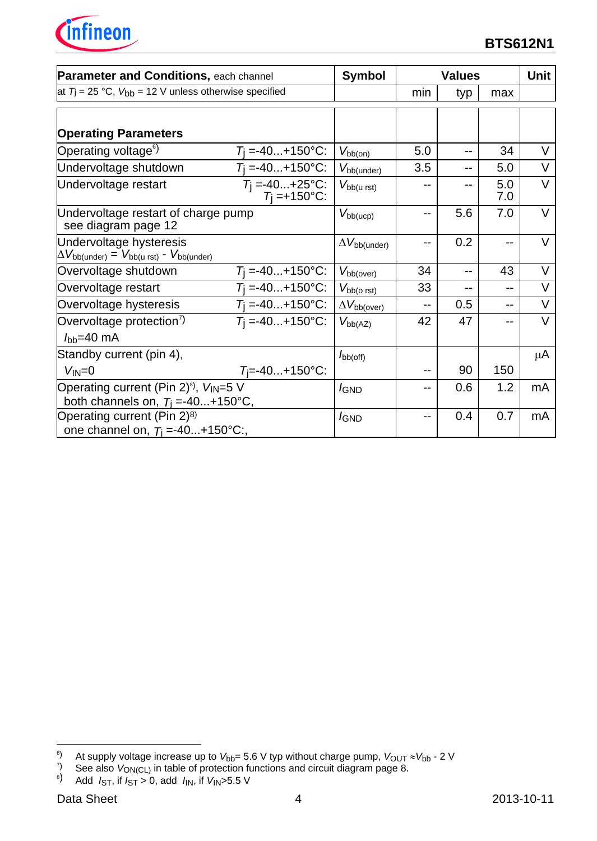

| Parameter and Conditions, each channel                                                                                 |                                                              | Symbol                        |     | <b>Values</b> |            | Unit   |
|------------------------------------------------------------------------------------------------------------------------|--------------------------------------------------------------|-------------------------------|-----|---------------|------------|--------|
|                                                                                                                        | at $T_j$ = 25 °C, $V_{bb}$ = 12 V unless otherwise specified |                               | min | typ           | max        |        |
| <b>Operating Parameters</b>                                                                                            |                                                              |                               |     |               |            |        |
| Operating voltage <sup>6</sup> )                                                                                       | $T_1 = -40+150$ °C:                                          | $V_{\text{bb}(on)}$           | 5.0 | --            | 34         | $\vee$ |
| Undervoltage shutdown                                                                                                  | $T_i = -40+150$ °C:                                          | $V_{\text{bb}(\text{under})}$ | 3.5 |               | 5.0        | $\vee$ |
| $T_j = -40+25^{\circ}C$ :<br>$T_j = +150^{\circ}C$ :<br>Undervoltage restart                                           |                                                              | $V_{\text{bb (u rst)}}$       |     |               | 5.0<br>7.0 | $\vee$ |
| Undervoltage restart of charge pump<br>see diagram page 12                                                             | $V_{bb(ucp)}$                                                | $-$                           | 5.6 | 7.0           | $\vee$     |        |
| Undervoltage hysteresis<br>$\Delta V_{\text{bb(under)}} = V_{\text{bb(}u \text{ rst)}} - V_{\text{bb(}u \text{ rdt)}}$ |                                                              | $\Delta V_{\rm bb (under)}$   | --  | 0.2           |            | $\vee$ |
| Overvoltage shutdown                                                                                                   | $T_i = -40+150$ °C:                                          | $V_{\text{bb(over)}}$         | 34  | $-$           | 43         | V      |
| Overvoltage restart                                                                                                    | $T_1 = -40+150$ °C:                                          | $V_{\text{bb(o} \text{rst})}$ | 33  |               | --         | V      |
| Overvoltage hysteresis                                                                                                 | $T_1 = -40+150$ °C:                                          | $\Delta V_{\text{bb(over)}}$  | $-$ | 0.5           | --         | $\vee$ |
| Overvoltage protection <sup>7</sup>                                                                                    | $T_1 = -40+150$ °C:                                          | $V_{bb(AZ)}$                  | 42  | 47            |            | V      |
| $I_{\text{bb}}=40 \text{ mA}$                                                                                          |                                                              |                               |     |               |            |        |
| Standby current (pin 4),                                                                                               |                                                              | $I_{\text{bb(off)}}$          |     |               |            | μA     |
| $V_{IN} = 0$                                                                                                           | $T_i = -40+150$ °C:                                          |                               |     | 90            | 150        |        |
| Operating current (Pin 2) <sup>8</sup> ), $V_{\text{IN}}=5$ V                                                          | <i>I</i> GND                                                 |                               | 0.6 | 1.2           | mA         |        |
| both channels on, $T_i = -40+150^{\circ}C$ ,                                                                           |                                                              |                               |     |               |            |        |
| Operating current (Pin 2) <sup>8)</sup><br>one channel on, $T_1 = -40+150^{\circ}C$ :                                  |                                                              | <i>I</i> GND                  | --  | 0.4           | 0.7        | mA     |

 $6)$ <sup>6)</sup> At supply voltage increase up to  $V_{bb}$ = 5.6 V typ without charge pump,  $V_{\text{OUT}} \approx V_{bb}$  - 2 V  $^7$ <br><sup>7</sup> See also  $V_{\text{ON/Cl}}$ ) in table of protection functions and circuit diagram page 8.

<sup>&</sup>lt;sup>7)</sup> See also  $V_{ON(CL)}$  in table of protection functions and circuit diagram page 8.<br><sup>8</sup>) Add *I*<sub>ST</sub>, if *I<sub>ST</sub>* > 0, add *I*<sub>IN</sub>, if *V*<sub>IN</sub>>5.5 V

Add  $I_{ST}$ , if  $I_{ST} > 0$ , add  $I_{IN}$ , if  $V_{IN} > 5.5$  V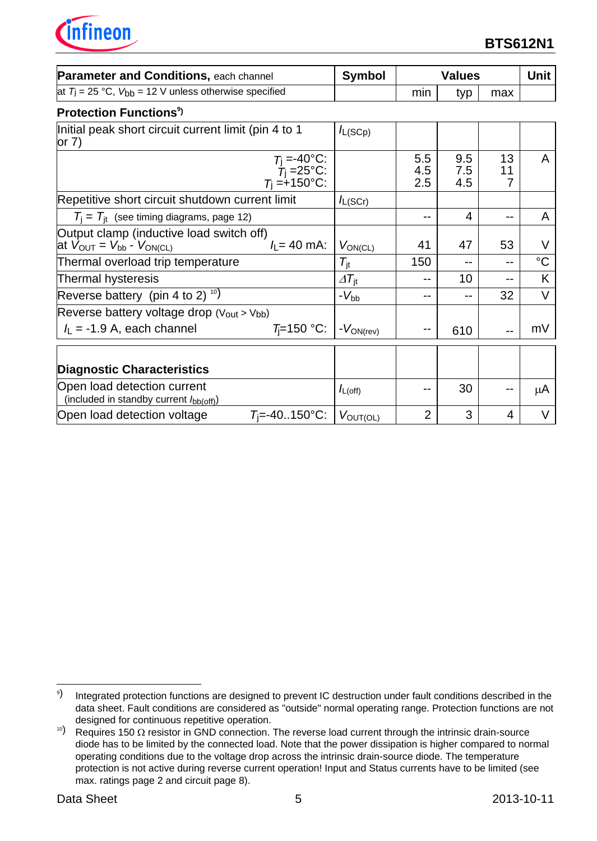nfineon

| <b>Parameter and Conditions, each channel</b>                                                                                  | <b>Symbol</b>               |                   | <b>Values</b>     |               | <b>Unit</b> |
|--------------------------------------------------------------------------------------------------------------------------------|-----------------------------|-------------------|-------------------|---------------|-------------|
| at $T_i = 25$ °C, $V_{bb} = 12$ V unless otherwise specified                                                                   |                             | min               | typ               | max           |             |
| <b>Protection Functions<sup>9</sup></b>                                                                                        |                             |                   |                   |               |             |
| Initial peak short circuit current limit (pin 4 to 1<br>or $7)$                                                                | $I_{L(SCp)}$                |                   |                   |               |             |
| $T_j = -40^{\circ}$ C:<br>$T_j = 25^{\circ}$ C:<br>$T_j = +150^{\circ}$ C:                                                     |                             | 5.5<br>4.5<br>2.5 | 9.5<br>7.5<br>4.5 | 13<br>11<br>7 | A           |
| Repetitive short circuit shutdown current limit                                                                                | $I_{L(SCr)}$                |                   |                   |               |             |
| $T_i = T_{it}$ (see timing diagrams, page 12)                                                                                  |                             | --                | 4                 | --            | A           |
| Output clamp (inductive load switch off)<br>$I_1 = 40$ mA:<br>at $V_{\text{OUT}} = V_{\text{bb}}$ - $V_{\text{ON}(\text{CL})}$ | $V_{ON(CL)}$                | 41                | 47                | 53            | V           |
| Thermal overload trip temperature                                                                                              | $\mathcal{T}_{\rm it}$      | 150               | --                | $- -$         | $^{\circ}C$ |
| Thermal hysteresis                                                                                                             | $\varDelta T_{\mathrm{jt}}$ |                   | 10                | $- -$         | K           |
| Reverse battery (pin 4 to 2) <sup>10</sup> )                                                                                   | $-V_{bb}$                   | --                | --                | 32            | V           |
| Reverse battery voltage drop (Vout > Vbb)                                                                                      |                             |                   |                   |               |             |
| $T = 150$ °C:<br>$I_L$ = -1.9 A, each channel                                                                                  | $-V_{ON(rev)}$              |                   | 610               | $-$           | mV          |
| <b>Diagnostic Characteristics</b>                                                                                              |                             |                   |                   |               |             |
| Open load detection current<br>(included in standby current lbb(off))                                                          | $I_{L(\text{off})}$         |                   | 30                |               | μA          |
| $T_i = -40.150$ °C:<br>Open load detection voltage                                                                             | $V_{\text{OUT}(\text{OL})}$ | $\overline{2}$    | 3                 | 4             |             |

j 9) Integrated protection functions are designed to prevent IC destruction under fault conditions described in the data sheet. Fault conditions are considered as "outside" normal operating range. Protection functions are not designed for continuous repetitive operation.

 $10$ ) Requires 150  $\Omega$  resistor in GND connection. The reverse load current through the intrinsic drain-source diode has to be limited by the connected load. Note that the power dissipation is higher compared to normal operating conditions due to the voltage drop across the intrinsic drain-source diode. The temperature protection is not active during reverse current operation! Input and Status currents have to be limited (see max. ratings page 2 and circuit page 8).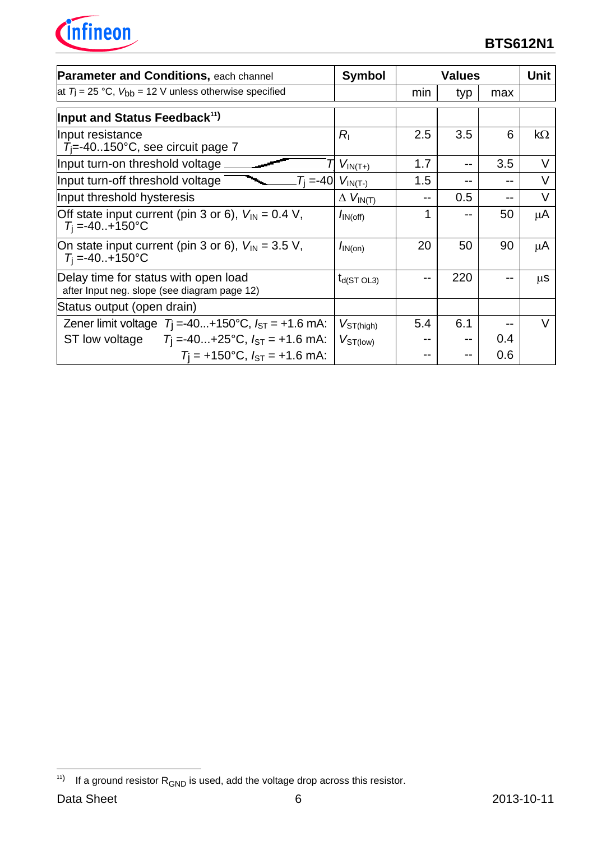

| <b>Parameter and Conditions, each channel</b>                                                    | <b>Symbol</b>               |     | <b>Values</b> |     | Unit          |
|--------------------------------------------------------------------------------------------------|-----------------------------|-----|---------------|-----|---------------|
| at $T_1 = 25$ °C, $V_{bb} = 12$ V unless otherwise specified                                     |                             | min | typ           | max |               |
| Input and Status Feedback <sup>11</sup>                                                          |                             |     |               |     |               |
| Input resistance<br>$T_i = -40150^{\circ}$ C, see circuit page 7                                 | $R_{I}$                     | 2.5 | 3.5           | 6   | $k\Omega$     |
| Input turn-on threshold voltage                                                                  | $V_{IN(T+)}$                | 1.7 |               | 3.5 | V             |
| Input turn-off threshold voltage<br>$T_{i} = -40$                                                | $V_{IN(T-)}$                | 1.5 |               |     | V             |
| Input threshold hysteresis                                                                       | $\Delta V_{IN(T)}$          |     | 0.5           |     | $\vee$        |
| Off state input current (pin 3 or 6), $V_{\text{IN}} = 0.4 \text{ V}$ ,<br>$T_1 = -40. + 150$ °C | $I_{\text{IN}(\text{off})}$ | 1   |               | 50  | μA            |
| On state input current (pin 3 or 6), $V_{\text{IN}} = 3.5$ V,<br>$T_i = -40. + 150$ °C           | $I_{\text{IN(on)}}$         | 20  | 50            | 90  | μA            |
| Delay time for status with open load<br>after Input neg. slope (see diagram page 12)             | $t_{d(ST O L3)}$            |     | 220           |     | $\mu$ S       |
| Status output (open drain)                                                                       |                             |     |               |     |               |
| Zener limit voltage $T_1 = -40+150^{\circ}C$ , $I_{ST} = +1.6$ mA:                               | $V_{ST(high)}$              | 5.4 | 6.1           |     | $\mathcal{U}$ |
| ST low voltage $T_1 = -40+25$ °C, $I_{ST} = +1.6$ mA:                                            | $V_{ST(low)}$               |     |               | 0.4 |               |
| $T_1$ = +150°C, $I_{ST}$ = +1.6 mA:                                                              |                             |     |               | 0.6 |               |

-

 $^{11)}$  If a ground resistor  $\mathsf{R}_{\mathsf{GND}}$  is used, add the voltage drop across this resistor.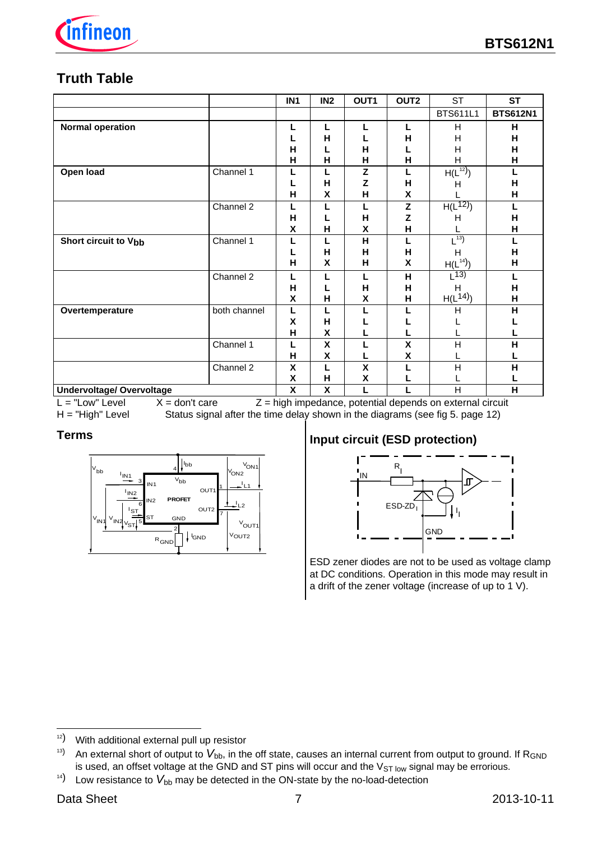

# **Truth Table**

|                                  |              | IN <sub>1</sub> | IN <sub>2</sub>    | OUT <sub>1</sub>        | OUT <sub>2</sub>                                            | <b>ST</b>             | <b>ST</b>       |
|----------------------------------|--------------|-----------------|--------------------|-------------------------|-------------------------------------------------------------|-----------------------|-----------------|
|                                  |              |                 |                    |                         |                                                             | <b>BTS611L1</b>       | <b>BTS612N1</b> |
| <b>Normal operation</b>          |              | L               | L                  | L                       | L                                                           | Н                     | н               |
|                                  |              |                 | н                  |                         | Н                                                           | н                     | н               |
|                                  |              | н               |                    | H                       | L                                                           | H                     | H               |
|                                  |              | н               | н                  | н                       | н                                                           | Н                     | н               |
| Open load                        | Channel 1    | L               | L                  | z                       | L                                                           | $H(L^{12})$           | L               |
|                                  |              |                 | н                  | Z                       | H                                                           | Н                     | H               |
|                                  |              | н               | X                  | н                       | $\pmb{\mathsf{X}}$                                          |                       | H               |
|                                  | Channel 2    | L               | L                  | L                       | Z                                                           | $H(L^{12})$           | L               |
|                                  |              | н               |                    | н                       | $\mathsf{Z}% _{M_{1},M_{2}}^{\alpha,\beta}(\mathbb{R}^{N})$ | н                     | Н               |
|                                  |              | X               | н                  | χ                       | H                                                           |                       | н               |
| <b>Short circuit to Vbb</b>      | Channel 1    | L               | L                  | Η                       | L                                                           | $\lfloor^{13}\rfloor$ | L               |
|                                  |              |                 | н                  | н                       | H                                                           | н                     | н               |
|                                  |              | н               | X                  | н                       | X                                                           | $H(L^{14})$           | н               |
|                                  | Channel 2    | L               | L                  | L                       | н                                                           | (13)                  | п               |
|                                  |              | Н               |                    | Н                       | н                                                           | H                     | Н               |
|                                  |              | X               | н                  | χ                       | Н                                                           | $H(L^{14})$           | н               |
| Overtemperature                  | both channel | L               |                    |                         |                                                             | Η                     | H               |
|                                  |              | X               | н                  |                         |                                                             |                       |                 |
|                                  |              | н               | $\pmb{\mathsf{X}}$ |                         |                                                             |                       |                 |
|                                  | Channel 1    | L               | X                  | L                       | $\pmb{\mathsf{X}}$                                          | $\mathsf{H}$          | н               |
|                                  |              | н               | X                  |                         | X                                                           |                       |                 |
|                                  | Channel 2    | X               | L                  | $\overline{\mathbf{x}}$ | L                                                           | H                     | н               |
|                                  |              | χ               | $\mathsf{H}$       | χ                       |                                                             |                       |                 |
| <b>Undervoltage/ Overvoltage</b> |              | X               | X                  | L                       | L                                                           | $\overline{H}$        | H               |

 $L = "Low" Level X = don't care Z = high impedance, potential depends on external circuit H = "High" Level States signal after the time delay shown in the diagrams (see fig 5. page 12)$ Status signal after the time delay shown in the diagrams (see fig 5. page 12)

### **Terms**



## **Input circuit (ESD protection)**



ESD zener diodes are not to be used as voltage clamp at DC conditions. Operation in this mode may result in a drift of the zener voltage (increase of up to 1 V).

j

 $12)$  With additional external pull up resistor

<sup>&</sup>lt;sup>13)</sup> An external short of output to  $V_{bb}$ , in the off state, causes an internal current from output to ground. If R<sub>GND</sub> is used, an offset voltage at the GND and ST pins will occur and the  $V_{ST}$  low signal may be errorious.

 $14)$  Low resistance to  $V_{\text{bb}}$  may be detected in the ON-state by the no-load-detection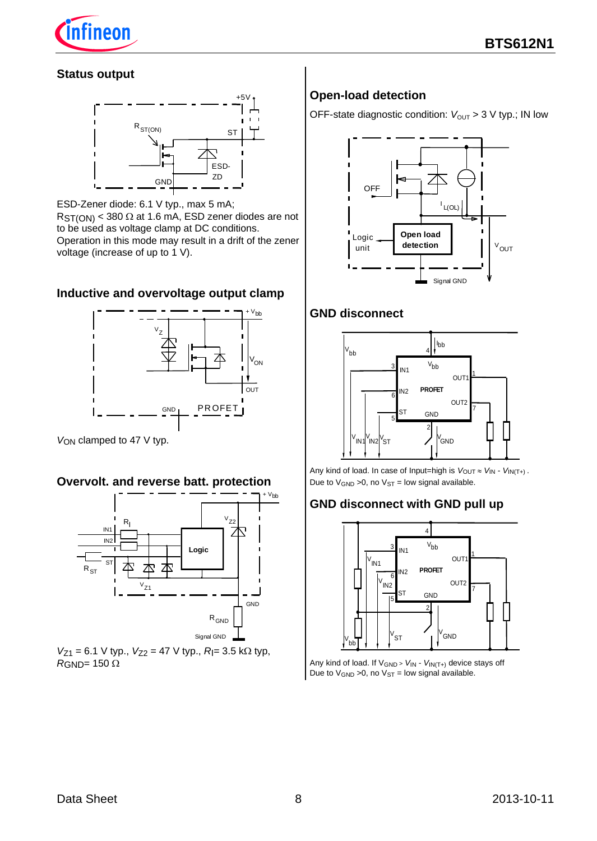

#### **Status output**



ESD-Zener diode: 6.1 V typ., max 5 mA;  $RST(ON)$  < 380  $\Omega$  at 1.6 mA, ESD zener diodes are not to be used as voltage clamp at DC conditions. Operation in this mode may result in a drift of the zener voltage (increase of up to 1 V).

#### **Inductive and overvoltage output clamp**



*V*<sub>ON</sub> clamped to 47 V typ.

#### **Overvolt. and reverse batt. protection**



 $V_{Z1} = 6.1$  V typ.,  $V_{Z2} = 47$  V typ.,  $R = 3.5$  k $\Omega$  typ,  $R$ GND= 150  $\Omega$ 

## **Open-load detection**

OFF-state diagnostic condition:  $V_{\text{OUT}} > 3$  V typ.; IN low



#### **GND disconnect**



Any kind of load. In case of Input=high is  $V_{\text{OUT}} \approx V_{\text{IN}} - V_{\text{IN}(T+)}$ . Due to  $V_{GND} > 0$ , no  $V_{ST} =$  low signal available.

### **GND disconnect with GND pull up**



Any kind of load. If VGND <sup>&</sup>gt; *V*IN - *V*IN(T+) device stays off Due to  $V_{GND}$  >0, no  $V_{ST}$  = low signal available.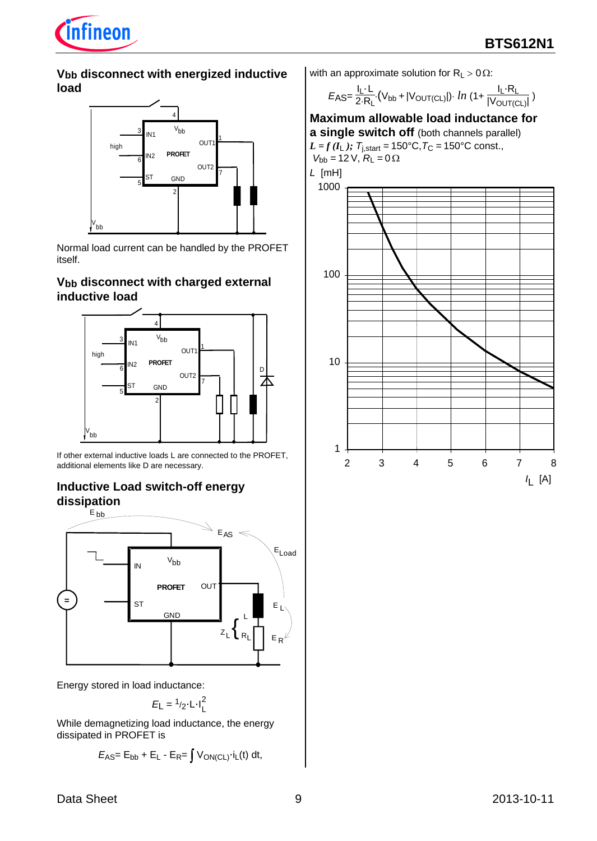

#### **Vbb disconnect with energized inductive load**



Normal load current can be handled by the PROFET itself.

#### **Vbb disconnect with charged external inductive load**



If other external inductive loads L are connected to the PROFET, additional elements like D are necessary.

## **Inductive Load switch-off energy dissipation**



Energy stored in load inductance:

$$
E_{L} = \frac{1}{2} \cdot L \cdot I_{L}^{2}
$$

While demagnetizing load inductance, the energy dissipated in PROFET is

$$
E_{\text{AS}}\!\!=\mathrm{E}_{\text{bb}}+\mathrm{E}_{\text{L}}\cdot\mathrm{E}_{\text{R}}\!\!=\!\int\mathsf{V}_{\text{ON}(\text{CL})}\!\cdot\!\mathrm{i}_{\text{L}}\!\left(\mathrm{t}\right)\,\mathrm{d}\mathrm{t},
$$

with an approximate solution for  $R_L > 0 \Omega$ :

$$
E_{\text{AS}} = \frac{I_{\text{L}} \cdot L}{2 \cdot R_{\text{L}}} \cdot (V_{\text{bb}} + |V_{\text{OUT(CL)}}|) \cdot \ln \left(1 + \frac{I_{\text{L}} \cdot R_{\text{L}}}{|V_{\text{OUT(CL)}}|}\right)
$$

**Maximum allowable load inductance for a single switch off** (both channels parallel) *L* = *f*( $I_L$ );  $T_{j,stat}$  = 150°C,  $T_C$  = 150°C const.,  $V_{bb} = 12 \text{ V}, \ R_{L} = 0 \Omega$ 

*L* [mH]

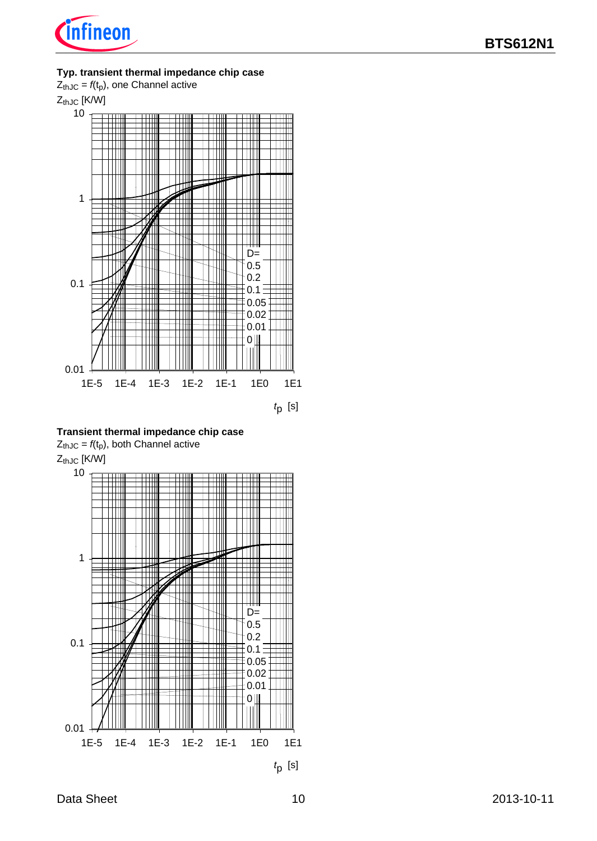

#### **Typ. transient thermal impedance chip case**



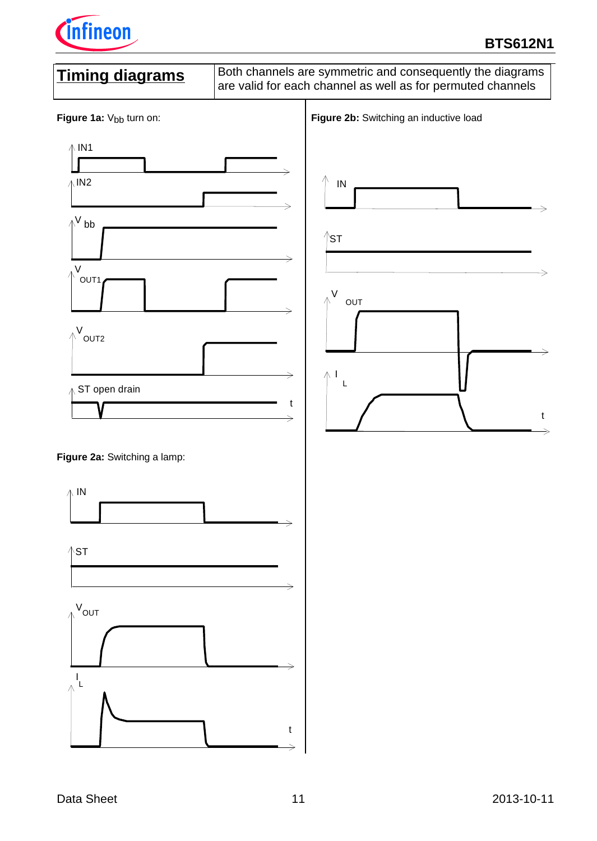

# **BTS612N1**

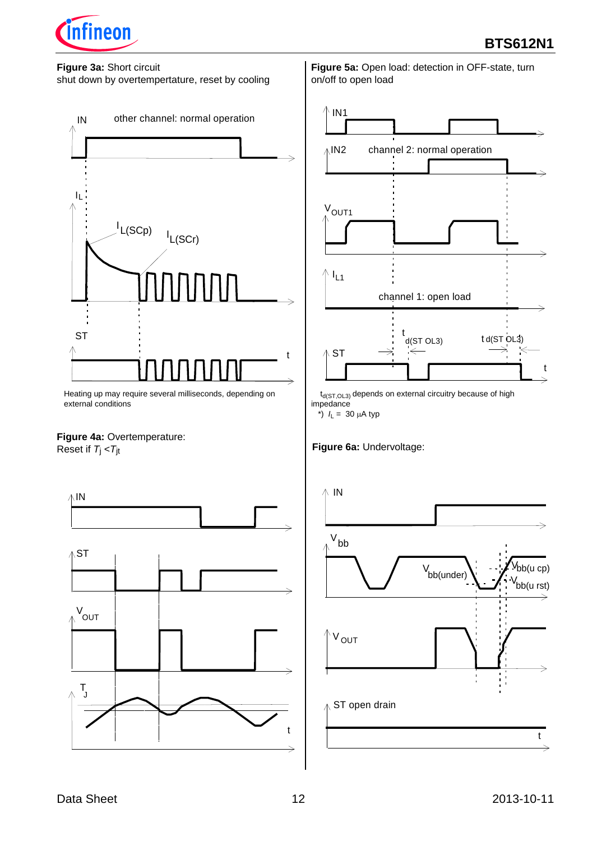

#### **Figure 3a:** Short circuit

shut down by overtempertature, reset by cooling



Heating up may require several milliseconds, depending on external conditions

# **Figure 4a: Overtemperature:**

Reset if *T*j <*T*jt



**Figure 5a:** Open load: detection in OFF-state, turn on/off to open load



 $t_{d(ST,OL3)}$  depends on external circuitry because of high impedance

\*)  $I_L = 30 \mu A$  typ

#### **Figure 6a:** Undervoltage:

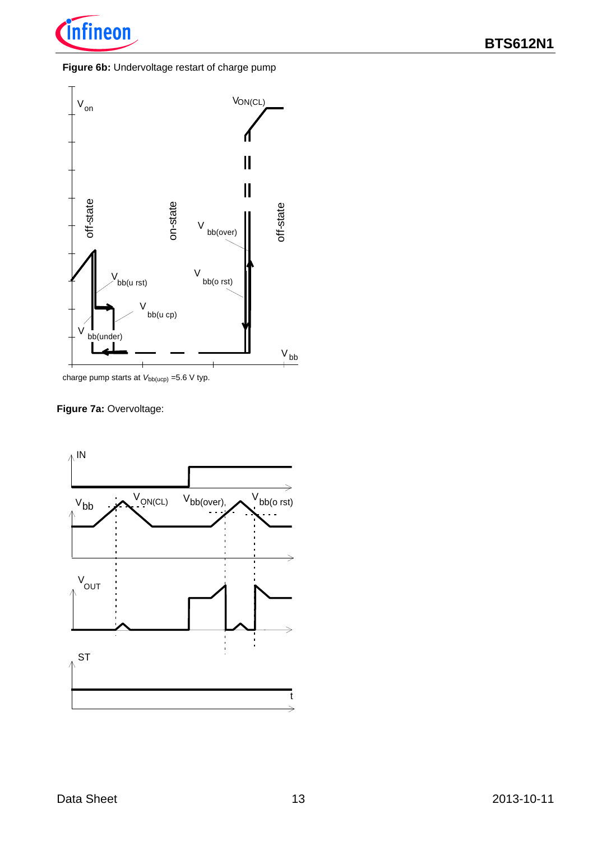

#### **Figure 6b:** Undervoltage restart of charge pump



charge pump starts at  $V_{bb(ucp)}$  =5.6 V typ.